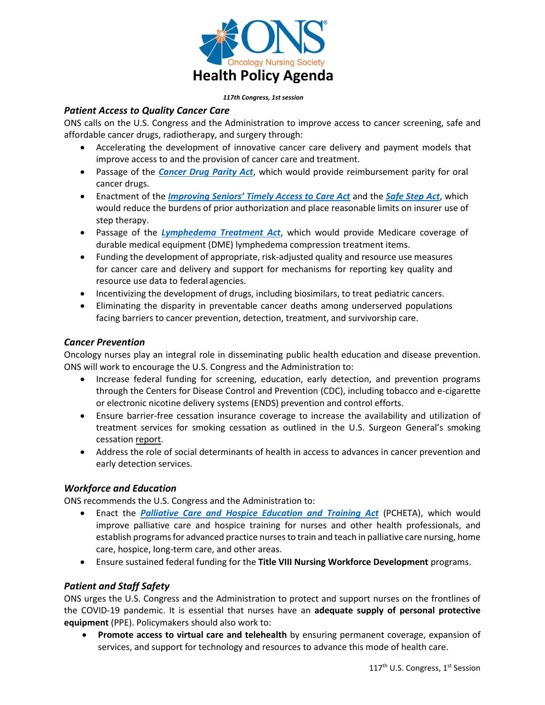

#### *117th Congress, 1st session*

## *Patient Access to Quality Cancer Care*

ONS calls on the U.S. Congress and the Administration to improve access to cancer screening, safe and affordable cancer drugs, radiotherapy, and surgery through:

- Accelerating the development of innovative cancer care delivery and payment models that improve access to and the provision of cancer care and treatment.
- Passage of the *[Cancer Drug Parity Act](https://www.congress.gov/bill/116th-congress/house-bill/1730?q=%7B%22search%22%3A%5B%22Cancer+Drug+Parity+Act%22%5D%7D&r=1&s=1)*, which would provide reimbursement parity for oral cancer drugs.
- Enactment of the *[Improving Seniors' Timely Access to Care Act](https://www.congress.gov/bill/116th-congress/senate-bill/5044?q=%7B%22search%22%3A%5B%22Improving+Seniors+Timely+Access+to+Care+Act%22%5D%7D&s=2&r=2)* and the *[Safe Step Act](https://www.congress.gov/bill/116th-congress/senate-bill/2546?q=%7B%22search%22%3A%5B%22safe+step+act%22%5D%7D&s=3&r=1)*, which would reduce the burdens of prior authorization and place reasonable limits on insurer use of step therapy.
- Passage of the *[Lymphedema Treatment Act](https://www.congress.gov/bill/116th-congress/senate-bill/518?q=%7B%22search%22%3A%5B%22Lymphedema+Treatment+Act%22%5D%7D&s=4&r=1)*, which would provide Medicare coverage of durable medical equipment (DME) lymphedema compression treatment items.
- Funding the development of appropriate, risk-adjusted quality and resource use measures for cancer care and delivery and support for mechanisms for reporting key quality and resource use data to federal agencies.
- Incentivizing the development of drugs, including biosimilars, to treat pediatric cancers.
- Eliminating the disparity in preventable cancer deaths among underserved populations facing barriers to cancer prevention, detection, treatment, and survivorship care.

## *Cancer Prevention*

Oncology nurses play an integral role in disseminating public health education and disease prevention. ONS will work to encourage the U.S. Congress and the Administration to:

- Increase federal funding for screening, education, early detection, and prevention programs through the Centers for Disease Control and Prevention (CDC), including tobacco and e-cigarette or electronic nicotine delivery systems (ENDS) prevention and control efforts.
- Ensure barrier-free cessation insurance coverage to increase the availability and utilization of treatment services for smoking cessation as outlined in the U.S. Surgeon General's smoking cessation [report.](https://www.cdc.gov/tobacco/data_statistics/sgr/2020-smoking-cessation/index.html)
- Address the role of social determinants of health in access to advances in cancer prevention and early detection services.

## *Workforce and Education*

ONS recommends the U.S. Congress and the Administration to:

- Enact the *[Palliative Care and Hospice Education and Training Act](https://www.congress.gov/bill/116th-congress/senate-bill/2080?q=%7B%22search%22%3A%5B%22Palliative+Care+and+Hospice+Education+and+Training+Act%22%5D%7D&s=5&r=1)* (PCHETA), which would improve palliative care and hospice training for nurses and other health professionals, and establish programs for advanced practice nurses to train and teach in palliative care nursing, home care, hospice, long-term care, and other areas.
- Ensure sustained federal funding for the **Title VIII Nursing Workforce Development** programs.

# *Patient and Staff Safety*

ONS urges the U.S. Congress and the Administration to protect and support nurses on the frontlines of the COVID-19 pandemic. It is essential that nurses have an **adequate supply of personal protective equipment** (PPE). Policymakers should also work to:

• **Promote access to virtual care and telehealth** by ensuring permanent coverage, expansion of services, and support for technology and resources to advance this mode of health care.